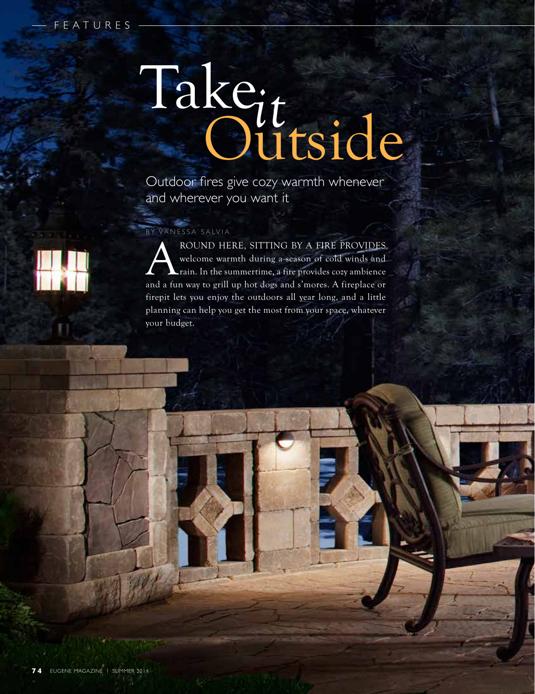## FEATURES

## Take*it* Outside

Outdoor fires give cozy warmth whenever and wherever you want it

## BY VANESSA SALVIA

ROUND HERE, SITTING BY A FIRE PROVIDES welcome warmth during a season of cold winds and rain. In the summertime, a fire provides cozy ambience and a fun way to grill up hot dogs and s'mores. A fireplace or firepit lets you enjoy the outdoors all year long, and a little planning can help you get the most from your space, whatever your budget.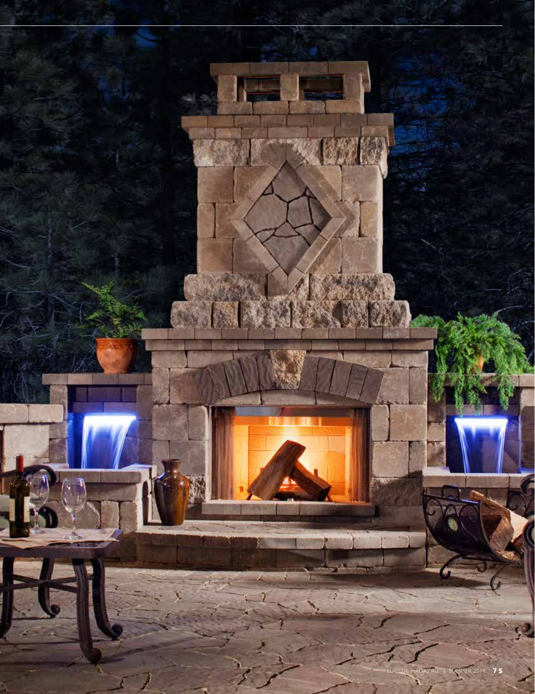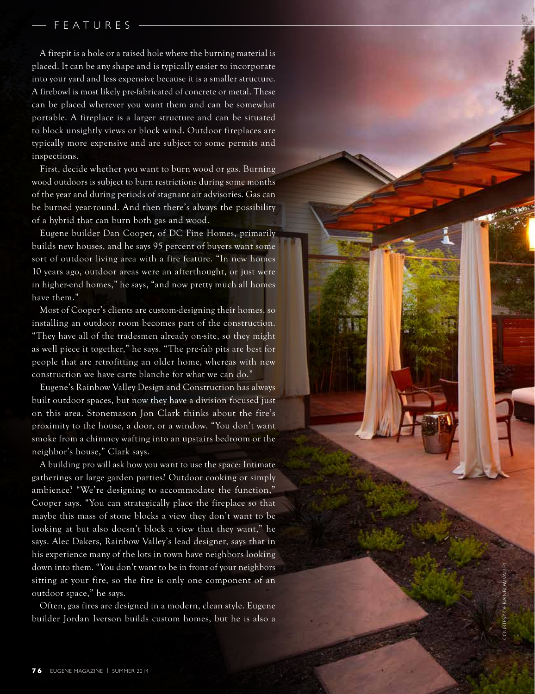## FEATURES

A firepit is a hole or a raised hole where the burning material is placed. It can be any shape and is typically easier to incorporate into your yard and less expensive because it is a smaller structure. A firebowl is most likely pre-fabricated of concrete or metal. These can be placed wherever you want them and can be somewhat portable. A fireplace is a larger structure and can be situated to block unsightly views or block wind. Outdoor fireplaces are typically more expensive and are subject to some permits and inspections.

First, decide whether you want to burn wood or gas. Burning wood outdoors is subject to burn restrictions during some months of the year and during periods of stagnant air advisories. Gas can be burned year-round. And then there's always the possibility of a hybrid that can burn both gas and wood.

Eugene builder Dan Cooper, of DC Fine Homes, primarily builds new houses, and he says 95 percent of buyers want some sort of outdoor living area with a fire feature. "In new homes 10 years ago, outdoor areas were an afterthought, or just were in higher-end homes," he says, "and now pretty much all homes have them."

Most of Cooper's clients are custom-designing their homes, so installing an outdoor room becomes part of the construction. "They have all of the tradesmen already on-site, so they might as well piece it together," he says. "The pre-fab pits are best for people that are retrofitting an older home, whereas with new construction we have carte blanche for what we can do."

Eugene's Rainbow Valley Design and Construction has always built outdoor spaces, but now they have a division focused just on this area. Stonemason Jon Clark thinks about the fire's proximity to the house, a door, or a window. "You don't want smoke from a chimney wafting into an upstairs bedroom or the neighbor's house," Clark says.

A building pro will ask how you want to use the space: Intimate gatherings or large garden parties? Outdoor cooking or simply ambience? "We're designing to accommodate the function," Cooper says. "You can strategically place the fireplace so that maybe this mass of stone blocks a view they don't want to be looking at but also doesn't block a view that they want," he says. Alec Dakers, Rainbow Valley's lead designer, says that in his experience many of the lots in town have neighbors looking down into them. "You don't want to be in front of your neighbors sitting at your fire, so the fire is only one component of an outdoor space," he says.

Often, gas fires are designed in a modern, clean style. Eugene builder Jordan Iverson builds custom homes, but he is also a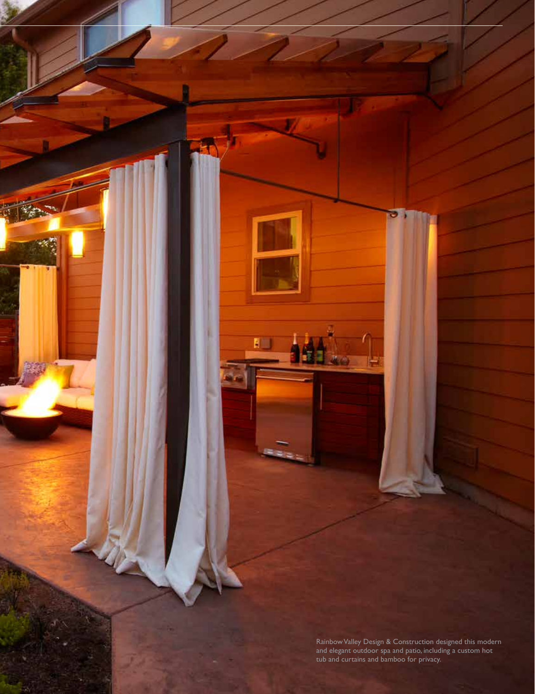Rainbow Valley Design & Construction designed this modern and elegant outdoor spa and patio, including a custom hot tub and curtains and bamboo for privacy.